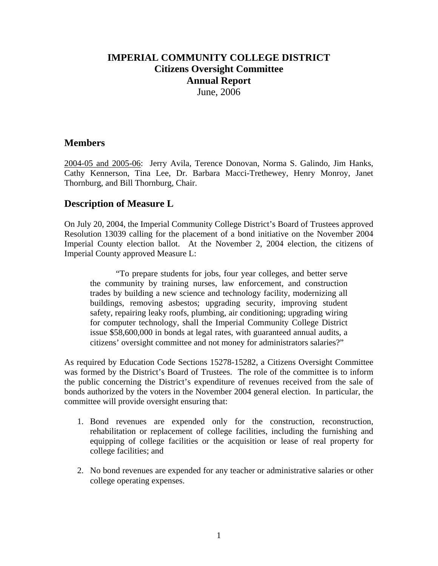## **IMPERIAL COMMUNITY COLLEGE DISTRICT Citizens Oversight Committee Annual Report**  June, 2006

## **Members**

2004-05 and 2005-06: Jerry Avila, Terence Donovan, Norma S. Galindo, Jim Hanks, Cathy Kennerson, Tina Lee, Dr. Barbara Macci-Trethewey, Henry Monroy, Janet Thornburg, and Bill Thornburg, Chair.

## **Description of Measure L**

On July 20, 2004, the Imperial Community College District's Board of Trustees approved Resolution 13039 calling for the placement of a bond initiative on the November 2004 Imperial County election ballot. At the November 2, 2004 election, the citizens of Imperial County approved Measure L:

 "To prepare students for jobs, four year colleges, and better serve the community by training nurses, law enforcement, and construction trades by building a new science and technology facility, modernizing all buildings, removing asbestos; upgrading security, improving student safety, repairing leaky roofs, plumbing, air conditioning; upgrading wiring for computer technology, shall the Imperial Community College District issue \$58,600,000 in bonds at legal rates, with guaranteed annual audits, a citizens' oversight committee and not money for administrators salaries?"

As required by Education Code Sections 15278-15282, a Citizens Oversight Committee was formed by the District's Board of Trustees. The role of the committee is to inform the public concerning the District's expenditure of revenues received from the sale of bonds authorized by the voters in the November 2004 general election. In particular, the committee will provide oversight ensuring that:

- 1. Bond revenues are expended only for the construction, reconstruction, rehabilitation or replacement of college facilities, including the furnishing and equipping of college facilities or the acquisition or lease of real property for college facilities; and
- 2. No bond revenues are expended for any teacher or administrative salaries or other college operating expenses.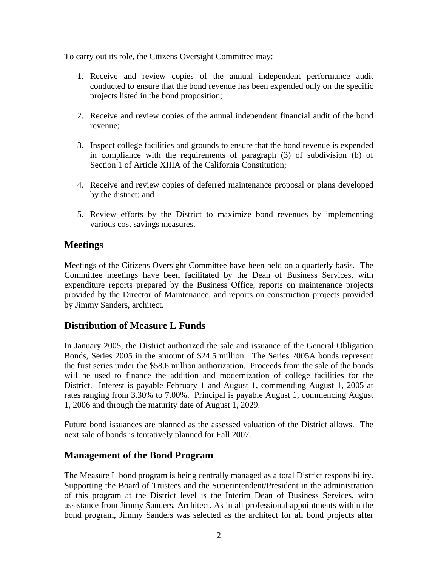To carry out its role, the Citizens Oversight Committee may:

- 1. Receive and review copies of the annual independent performance audit conducted to ensure that the bond revenue has been expended only on the specific projects listed in the bond proposition;
- 2. Receive and review copies of the annual independent financial audit of the bond revenue;
- 3. Inspect college facilities and grounds to ensure that the bond revenue is expended in compliance with the requirements of paragraph (3) of subdivision (b) of Section 1 of Article XIIIA of the California Constitution;
- 4. Receive and review copies of deferred maintenance proposal or plans developed by the district; and
- 5. Review efforts by the District to maximize bond revenues by implementing various cost savings measures.

# **Meetings**

Meetings of the Citizens Oversight Committee have been held on a quarterly basis. The Committee meetings have been facilitated by the Dean of Business Services, with expenditure reports prepared by the Business Office, reports on maintenance projects provided by the Director of Maintenance, and reports on construction projects provided by Jimmy Sanders, architect.

# **Distribution of Measure L Funds**

In January 2005, the District authorized the sale and issuance of the General Obligation Bonds, Series 2005 in the amount of \$24.5 million. The Series 2005A bonds represent the first series under the \$58.6 million authorization. Proceeds from the sale of the bonds will be used to finance the addition and modernization of college facilities for the District. Interest is payable February 1 and August 1, commending August 1, 2005 at rates ranging from 3.30% to 7.00%. Principal is payable August 1, commencing August 1, 2006 and through the maturity date of August 1, 2029.

Future bond issuances are planned as the assessed valuation of the District allows. The next sale of bonds is tentatively planned for Fall 2007.

# **Management of the Bond Program**

The Measure L bond program is being centrally managed as a total District responsibility. Supporting the Board of Trustees and the Superintendent/President in the administration of this program at the District level is the Interim Dean of Business Services, with assistance from Jimmy Sanders, Architect. As in all professional appointments within the bond program, Jimmy Sanders was selected as the architect for all bond projects after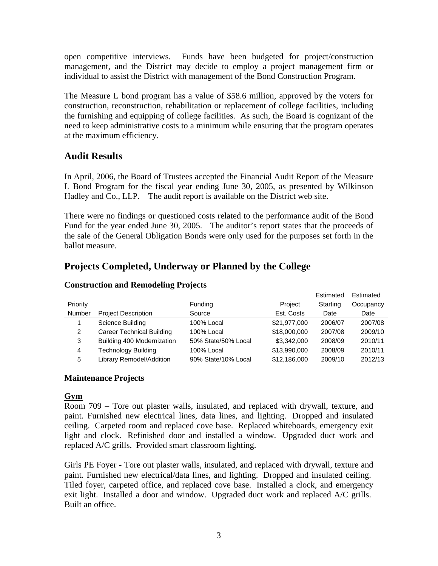open competitive interviews. Funds have been budgeted for project/construction management, and the District may decide to employ a project management firm or individual to assist the District with management of the Bond Construction Program.

The Measure L bond program has a value of \$58.6 million, approved by the voters for construction, reconstruction, rehabilitation or replacement of college facilities, including the furnishing and equipping of college facilities. As such, the Board is cognizant of the need to keep administrative costs to a minimum while ensuring that the program operates at the maximum efficiency.

## **Audit Results**

In April, 2006, the Board of Trustees accepted the Financial Audit Report of the Measure L Bond Program for the fiscal year ending June 30, 2005, as presented by Wilkinson Hadley and Co., LLP. The audit report is available on the District web site.

There were no findings or questioned costs related to the performance audit of the Bond Fund for the year ended June 30, 2005. The auditor's report states that the proceeds of the sale of the General Obligation Bonds were only used for the purposes set forth in the ballot measure.

# **Projects Completed, Underway or Planned by the College**

|          |                                  |                     |              | Estimated | Estimated |
|----------|----------------------------------|---------------------|--------------|-----------|-----------|
| Priority |                                  | Funding             | Project      | Starting  | Occupancy |
| Number   | <b>Project Description</b>       | Source              | Est. Costs   | Date      | Date      |
|          | Science Building                 | 100% Local          | \$21,977,000 | 2006/07   | 2007/08   |
| 2        | <b>Career Technical Building</b> | 100% Local          | \$18,000,000 | 2007/08   | 2009/10   |
| 3        | Building 400 Modernization       | 50% State/50% Local | \$3.342.000  | 2008/09   | 2010/11   |
| 4        | Technology Building              | 100% Local          | \$13,990,000 | 2008/09   | 2010/11   |
| 5        | Library Remodel/Addition         | 90% State/10% Local | \$12,186,000 | 2009/10   | 2012/13   |

#### **Construction and Remodeling Projects**

#### **Maintenance Projects**

#### **Gym**

Room 709 – Tore out plaster walls, insulated, and replaced with drywall, texture, and paint. Furnished new electrical lines, data lines, and lighting. Dropped and insulated ceiling. Carpeted room and replaced cove base. Replaced whiteboards, emergency exit light and clock. Refinished door and installed a window. Upgraded duct work and replaced A/C grills. Provided smart classroom lighting.

Girls PE Foyer - Tore out plaster walls, insulated, and replaced with drywall, texture and paint. Furnished new electrical/data lines, and lighting. Dropped and insulated ceiling. Tiled foyer, carpeted office, and replaced cove base. Installed a clock, and emergency exit light. Installed a door and window. Upgraded duct work and replaced A/C grills. Built an office.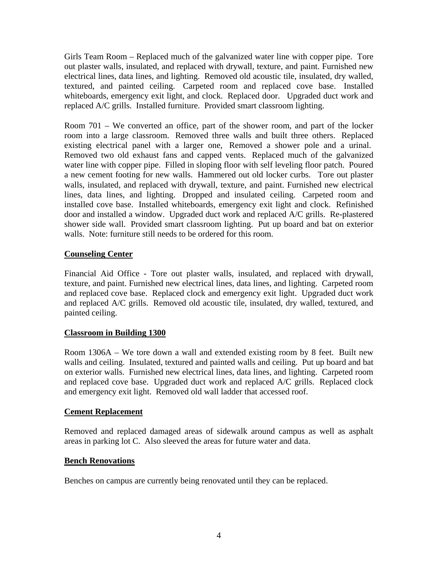Girls Team Room – Replaced much of the galvanized water line with copper pipe. Tore out plaster walls, insulated, and replaced with drywall, texture, and paint. Furnished new electrical lines, data lines, and lighting. Removed old acoustic tile, insulated, dry walled, textured, and painted ceiling. Carpeted room and replaced cove base. Installed whiteboards, emergency exit light, and clock. Replaced door. Upgraded duct work and replaced A/C grills. Installed furniture. Provided smart classroom lighting.

Room 701 – We converted an office, part of the shower room, and part of the locker room into a large classroom. Removed three walls and built three others. Replaced existing electrical panel with a larger one, Removed a shower pole and a urinal. Removed two old exhaust fans and capped vents. Replaced much of the galvanized water line with copper pipe. Filled in sloping floor with self leveling floor patch. Poured a new cement footing for new walls. Hammered out old locker curbs. Tore out plaster walls, insulated, and replaced with drywall, texture, and paint. Furnished new electrical lines, data lines, and lighting. Dropped and insulated ceiling. Carpeted room and installed cove base. Installed whiteboards, emergency exit light and clock. Refinished door and installed a window. Upgraded duct work and replaced A/C grills. Re-plastered shower side wall. Provided smart classroom lighting. Put up board and bat on exterior walls. Note: furniture still needs to be ordered for this room.

## **Counseling Center**

Financial Aid Office - Tore out plaster walls, insulated, and replaced with drywall, texture, and paint. Furnished new electrical lines, data lines, and lighting. Carpeted room and replaced cove base. Replaced clock and emergency exit light. Upgraded duct work and replaced A/C grills. Removed old acoustic tile, insulated, dry walled, textured, and painted ceiling.

## **Classroom in Building 1300**

Room 1306A – We tore down a wall and extended existing room by 8 feet. Built new walls and ceiling. Insulated, textured and painted walls and ceiling. Put up board and bat on exterior walls. Furnished new electrical lines, data lines, and lighting. Carpeted room and replaced cove base. Upgraded duct work and replaced A/C grills. Replaced clock and emergency exit light. Removed old wall ladder that accessed roof.

## **Cement Replacement**

Removed and replaced damaged areas of sidewalk around campus as well as asphalt areas in parking lot C. Also sleeved the areas for future water and data.

## **Bench Renovations**

Benches on campus are currently being renovated until they can be replaced.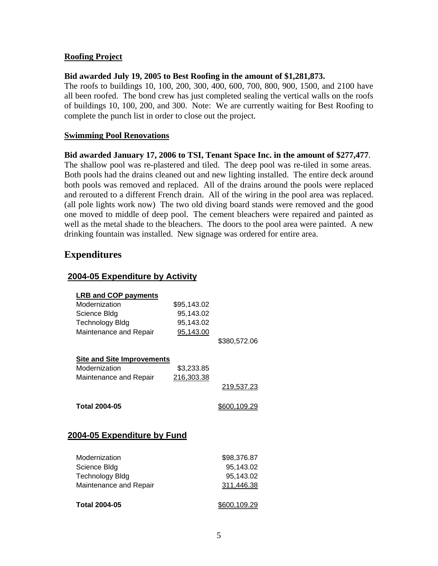### **Roofing Project**

#### **Bid awarded July 19, 2005 to Best Roofing in the amount of \$1,281,873.**

The roofs to buildings 10, 100, 200, 300, 400, 600, 700, 800, 900, 1500, and 2100 have all been roofed. The bond crew has just completed sealing the vertical walls on the roofs of buildings 10, 100, 200, and 300. Note: We are currently waiting for Best Roofing to complete the punch list in order to close out the project.

#### **Swimming Pool Renovations**

#### **Bid awarded January 17, 2006 to TSI, Tenant Space Inc. in the amount of \$277,477**.

The shallow pool was re-plastered and tiled. The deep pool was re-tiled in some areas. Both pools had the drains cleaned out and new lighting installed. The entire deck around both pools was removed and replaced. All of the drains around the pools were replaced and rerouted to a different French drain. All of the wiring in the pool area was replaced. (all pole lights work now) The two old diving board stands were removed and the good one moved to middle of deep pool. The cement bleachers were repaired and painted as well as the metal shade to the bleachers. The doors to the pool area were painted. A new drinking fountain was installed. New signage was ordered for entire area.

## **Expenditures**

#### **2004-05 Expenditure by Activity**

| <b>LRB and COP payments</b>       |             |                     |
|-----------------------------------|-------------|---------------------|
| Modernization                     | \$95,143.02 |                     |
| Science Bldg                      | 95,143.02   |                     |
| <b>Technology Bldg</b>            | 95,143.02   |                     |
| Maintenance and Repair            | 95,143.00   |                     |
|                                   |             | \$380,572.06        |
| <b>Site and Site Improvements</b> |             |                     |
| Modernization                     | \$3,233.85  |                     |
| Maintenance and Repair            | 216,303.38  |                     |
|                                   |             | 219,537.23          |
| <b>Total 2004-05</b>              |             | <u>\$600,109.29</u> |
| 2004-05 Expenditure by Fund       |             |                     |
| Modernization                     |             | \$98,376.87         |
| Science Bldg                      |             | 95,143.02           |
| Technology Bldg                   |             | 95,143.02           |
| Maintenance and Repair            |             | 311,446.38          |
|                                   |             |                     |

**Total 2004-05 \$600,109.29**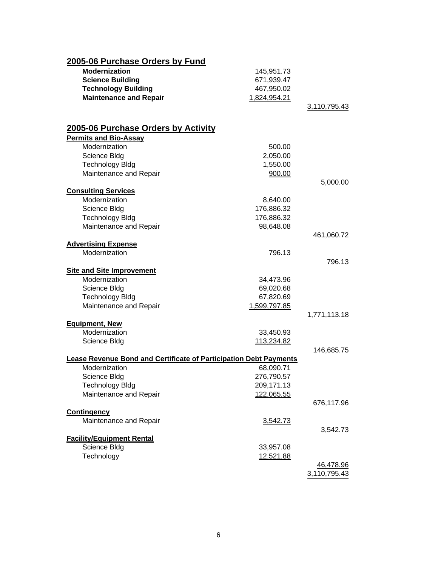| 2005-06 Purchase Orders by Fund                                          |              |                  |
|--------------------------------------------------------------------------|--------------|------------------|
| <b>Modernization</b>                                                     | 145,951.73   |                  |
| <b>Science Building</b>                                                  | 671,939.47   |                  |
| <b>Technology Building</b>                                               | 467,950.02   |                  |
| <b>Maintenance and Repair</b>                                            | 1,824,954.21 |                  |
|                                                                          |              | 3,110,795.43     |
| 2005-06 Purchase Orders by Activity                                      |              |                  |
| <b>Permits and Bio-Assay</b>                                             |              |                  |
| Modernization                                                            | 500.00       |                  |
| Science Bldg                                                             | 2,050.00     |                  |
| <b>Technology Bldg</b>                                                   | 1,550.00     |                  |
| Maintenance and Repair                                                   | 900.00       |                  |
|                                                                          |              | 5,000.00         |
| <b>Consulting Services</b>                                               |              |                  |
| Modernization                                                            | 8,640.00     |                  |
| Science Bldg                                                             | 176,886.32   |                  |
| <b>Technology Bldg</b>                                                   | 176,886.32   |                  |
| Maintenance and Repair                                                   | 98,648.08    |                  |
|                                                                          |              | 461,060.72       |
| <b>Advertising Expense</b>                                               |              |                  |
| Modernization                                                            | 796.13       |                  |
|                                                                          |              | 796.13           |
| <b>Site and Site Improvement</b>                                         |              |                  |
| Modernization                                                            | 34,473.96    |                  |
| Science Bldg                                                             | 69,020.68    |                  |
| <b>Technology Bldg</b>                                                   | 67,820.69    |                  |
| Maintenance and Repair                                                   | 1,599,797.85 |                  |
| <b>Equipment, New</b>                                                    |              | 1,771,113.18     |
| Modernization                                                            | 33,450.93    |                  |
| Science Bldg                                                             | 113,234.82   |                  |
|                                                                          |              | 146,685.75       |
| <b>Lease Revenue Bond and Certificate of Participation Debt Payments</b> |              |                  |
| Modernization                                                            | 68,090.71    |                  |
| Science Bldg                                                             | 276,790.57   |                  |
| <b>Technology Bldg</b>                                                   | 209,171.13   |                  |
| Maintenance and Repair                                                   | 122,065.55   |                  |
|                                                                          |              | 676,117.96       |
| <b>Contingency</b>                                                       |              |                  |
| Maintenance and Repair                                                   | 3,542.73     |                  |
|                                                                          |              | 3,542.73         |
| <b>Facility/Equipment Rental</b>                                         |              |                  |
| Science Bldg                                                             | 33,957.08    |                  |
| Technology                                                               | 12,521.88    |                  |
|                                                                          |              | <u>46,478.96</u> |
|                                                                          |              | 3,110,795.43     |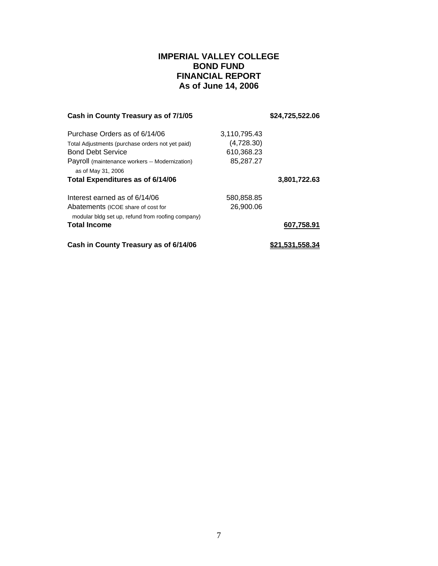## **IMPERIAL VALLEY COLLEGE BOND FUND FINANCIAL REPORT As of June 14, 2006**

| Cash in County Treasury as of 7/1/05                                                    |              | \$24,725,522.06 |
|-----------------------------------------------------------------------------------------|--------------|-----------------|
| Purchase Orders as of 6/14/06                                                           | 3,110,795.43 |                 |
| Total Adjustments (purchase orders not yet paid)                                        | (4,728.30)   |                 |
| <b>Bond Debt Service</b>                                                                | 610,368.23   |                 |
| Payroll (maintenance workers -- Modernization)                                          | 85,287.27    |                 |
| as of May 31, 2006                                                                      |              |                 |
| Total Expenditures as of 6/14/06                                                        |              | 3,801,722.63    |
| Interest earned as of 6/14/06                                                           | 580,858.85   |                 |
| Abatements (ICOE share of cost for<br>modular bldg set up, refund from roofing company) | 26,900.06    |                 |
| <b>Total Income</b>                                                                     |              | 607,758.91      |
| Cash in County Treasury as of 6/14/06                                                   |              | .531.558.3      |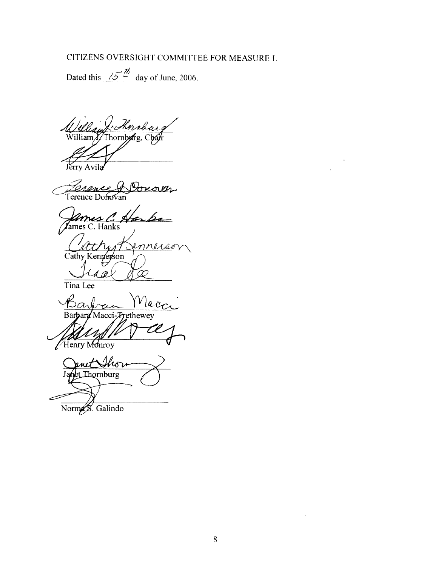# CITIZENS OVERSIGHT COMMITTEE FOR MEASURE L

Dated this  $\frac{\sqrt{5}}{2}$  day of June, 2006.

U*llan Xr Kornbarg*<br>William S/Thornbyirg, Char

Jérry Avila

Donover *Tonence*<br>Terence Doffovan

*Lames C. Harks* 

nnerse

Cathy Kenneyson 1 *(*b

Tina Lee

Nacc Barbara Macci-Trethewey

Henry Monroy

uit Show Thornburg

Norma S. Galindo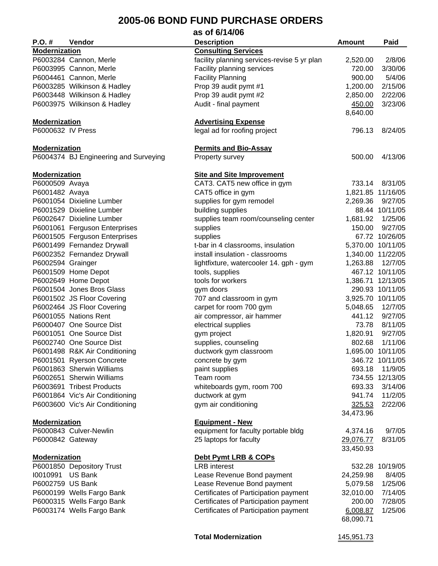#### **2005-06 BOND FUND PURCHASE ORDERS as of 6/14/06**

|                      |                                       | as or 6/14/06                               |                     |                   |
|----------------------|---------------------------------------|---------------------------------------------|---------------------|-------------------|
| $P.O.$ #             | Vendor                                | <b>Description</b>                          | <b>Amount</b>       | Paid              |
| <b>Modernization</b> |                                       | <b>Consulting Services</b>                  |                     |                   |
|                      | P6003284 Cannon, Merle                | facility planning services-revise 5 yr plan | 2,520.00            | 2/8/06            |
|                      | P6003995 Cannon, Merle                | Facility planning services                  | 720.00              | 3/30/06           |
|                      | P6004461 Cannon, Merle                | <b>Facility Planning</b>                    | 900.00              | 5/4/06            |
|                      | P6003285 Wilkinson & Hadley           | Prop 39 audit pymt #1                       | 1,200.00            | 2/15/06           |
|                      | P6003448 Wilkinson & Hadley           |                                             | 2,850.00            | 2/22/06           |
|                      |                                       | Prop 39 audit pymt #2                       |                     | 3/23/06           |
|                      | P6003975 Wilkinson & Hadley           | Audit - final payment                       | 450.00<br>8,640.00  |                   |
| <b>Modernization</b> |                                       | <b>Advertising Expense</b>                  |                     |                   |
| P6000632 IV Press    |                                       | legal ad for roofing project                | 796.13              | 8/24/05           |
| <b>Modernization</b> |                                       | <b>Permits and Bio-Assay</b>                |                     |                   |
|                      | P6004374 BJ Engineering and Surveying | Property survey                             | 500.00              | 4/13/06           |
| <b>Modernization</b> |                                       | <b>Site and Site Improvement</b>            |                     |                   |
| P6000509 Avaya       |                                       | CAT3. CAT5 new office in gym                | 733.14              | 8/31/05           |
| P6001482 Avaya       |                                       | CAT5 office in gym                          |                     | 1,821.85 11/16/05 |
|                      | P6001054 Dixieline Lumber             | supplies for gym remodel                    | 2,269.36            | 9/27/05           |
|                      | P6001529 Dixieline Lumber             | building supplies                           |                     | 88.44 10/11/05    |
|                      | P6002647 Dixieline Lumber             | supplies team room/counseling center        | 1,681.92            | 1/25/06           |
|                      |                                       |                                             |                     | 9/27/05           |
|                      | P6001061 Ferguson Enterprises         | supplies                                    | 150.00              |                   |
|                      | P6001505 Ferguson Enterprises         | supplies                                    |                     | 67.72 10/26/05    |
|                      | P6001499 Fernandez Drywall            | t-bar in 4 classrooms, insulation           |                     | 5,370.00 10/11/05 |
|                      | P6002352 Fernandez Drywall            | install insulation - classrooms             |                     | 1,340.00 11/22/05 |
| P6002594 Grainger    |                                       | lightfixture, watercooler 14. gph - gym     | 1,263.88            | 12/7/05           |
|                      | P6001509 Home Depot                   | tools, supplies                             |                     | 467.12 10/11/05   |
|                      | P6002649 Home Depot                   | tools for workers                           |                     | 1,386.71 12/13/05 |
|                      | P6001504 Jones Bros Glass             | gym doors                                   |                     | 290.93 10/11/05   |
|                      | P6001502 JS Floor Covering            | 707 and classroom in gym                    |                     | 3,925.70 10/11/05 |
|                      | P6002464 JS Floor Covering            | carpet for room 700 gym                     | 5,048.65            | 12/7/05           |
|                      | P6001055 Nations Rent                 | air compressor, air hammer                  | 441.12              | 9/27/05           |
|                      | P6000407 One Source Dist              | electrical supplies                         | 73.78               | 8/11/05           |
|                      | P6001051 One Source Dist              | gym project                                 | 1,820.91            | 9/27/05           |
|                      | P6002740 One Source Dist              | supplies, counseling                        | 802.68              | 1/11/06           |
|                      | P6001498 R&K Air Conditioning         | ductwork gym classroom                      |                     | 1,695.00 10/11/05 |
|                      | P6001501 Ryerson Concrete             | concrete by gym                             |                     | 346.72 10/11/05   |
|                      | P6001863 Sherwin Williams             | paint supplies                              | 693.18              | 11/9/05           |
|                      | P6002651 Sherwin Williams             | Team room                                   |                     | 734.55 12/13/05   |
|                      | P6003691 Tribest Products             | whiteboards gym, room 700                   | 693.33              | 3/14/06           |
|                      | P6001864 Vic's Air Conditioning       | ductwork at gym                             | 941.74              | 11/2/05           |
|                      |                                       |                                             |                     | 2/22/06           |
|                      | P6003600 Vic's Air Conditioning       | gym air conditioning                        | 325.53<br>34,473.96 |                   |
| <b>Modernization</b> |                                       | <b>Equipment - New</b>                      |                     |                   |
|                      | P6000843 Culver-Newlin                | equipment for faculty portable bldg         | 4,374.16            | 9/7/05            |
| P6000842 Gateway     |                                       | 25 laptops for faculty                      | 29,076.77           | 8/31/05           |
|                      |                                       |                                             | 33,450.93           |                   |
| <b>Modernization</b> |                                       | Debt Pymt LRB & COPs                        |                     |                   |
|                      | P6001850 Depository Trust             | <b>LRB</b> interest                         |                     | 532.28 10/19/05   |
| 10010991 US Bank     |                                       | Lease Revenue Bond payment                  | 24,259.98           | 8/4/05            |
| P6002759 US Bank     |                                       | Lease Revenue Bond payment                  | 5,079.58            | 1/25/06           |
|                      | P6000199 Wells Fargo Bank             | Certificates of Participation payment       | 32,010.00           | 7/14/05           |
|                      | P6000315 Wells Fargo Bank             | Certificates of Participation payment       | 200.00              | 7/28/05           |
|                      | P6003174 Wells Fargo Bank             | Certificates of Participation payment       | 6,008.87            | 1/25/06           |
|                      |                                       |                                             | 68,090.71           |                   |

Total Modernization **145,951.73**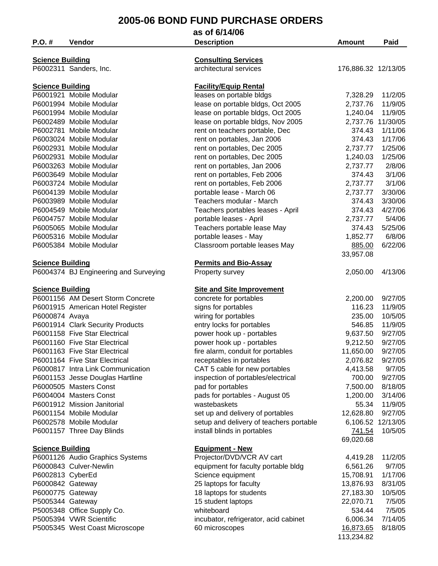|                         |                                                                   | as of 6/14/06                                                 |                       |                    |
|-------------------------|-------------------------------------------------------------------|---------------------------------------------------------------|-----------------------|--------------------|
| $P.O.$ #                | Vendor                                                            | <b>Description</b>                                            | Amount                | Paid               |
|                         |                                                                   |                                                               |                       |                    |
| <b>Science Building</b> |                                                                   | <b>Consulting Services</b>                                    |                       |                    |
|                         | P6002311 Sanders, Inc.                                            | architectural services                                        | 176,886.32 12/13/05   |                    |
| <b>Science Building</b> |                                                                   | <b>Facility/Equip Rental</b>                                  |                       |                    |
|                         | P6001921 Mobile Modular                                           | leases on portable bldgs                                      | 7,328.29              | 11/2/05            |
|                         | P6001994 Mobile Modular                                           | lease on portable bldgs, Oct 2005                             | 2,737.76              | 11/9/05            |
|                         | P6001994 Mobile Modular                                           | lease on portable bldgs, Oct 2005                             | 1,240.04              | 11/9/05            |
|                         | P6002489 Mobile Modular                                           | lease on portable bldgs, Nov 2005                             | 2,737.76 11/30/05     |                    |
|                         | P6002781 Mobile Modular                                           | rent on teachers portable, Dec                                | 374.43                | 1/11/06            |
|                         | P6003024 Mobile Modular                                           | rent on portables, Jan 2006                                   | 374.43                | 1/17/06            |
|                         | P6002931 Mobile Modular                                           | rent on portables, Dec 2005                                   | 2,737.77              | 1/25/06            |
|                         | P6002931 Mobile Modular                                           | rent on portables, Dec 2005                                   | 1,240.03              | 1/25/06            |
|                         | P6003263 Mobile Modular                                           | rent on portables, Jan 2006                                   | 2,737.77              | 2/8/06             |
|                         | P6003649 Mobile Modular                                           | rent on portables, Feb 2006                                   | 374.43                | 3/1/06             |
|                         | P6003724 Mobile Modular                                           | rent on portables, Feb 2006                                   | 2,737.77              | 3/1/06             |
|                         | P6004139 Mobile Modular                                           | portable lease - March 06                                     | 2,737.77              | 3/30/06            |
|                         | P6003989 Mobile Modular                                           | Teachers modular - March                                      | 374.43                | 3/30/06            |
|                         | P6004549 Mobile Modular                                           | Teachers portables leases - April                             | 374.43                | 4/27/06            |
|                         | P6004757 Mobile Modular                                           | portable leases - April                                       | 2,737.77              | 5/4/06             |
|                         | P6005065 Mobile Modular                                           | Teachers portable lease May                                   | 374.43                | 5/25/06            |
|                         | P6005316 Mobile Modular                                           | portable leases - May                                         | 1,852.77              | 6/8/06             |
|                         | P6005384 Mobile Modular                                           | Classroom portable leases May                                 | 885.00                | 6/22/06            |
|                         |                                                                   |                                                               | 33,957.08             |                    |
| <b>Science Building</b> |                                                                   | <b>Permits and Bio-Assay</b>                                  |                       |                    |
|                         | P6004374 BJ Engineering and Surveying                             | Property survey                                               | 2,050.00              | 4/13/06            |
|                         |                                                                   |                                                               |                       |                    |
| <b>Science Building</b> |                                                                   | <b>Site and Site Improvement</b>                              |                       |                    |
|                         | P6001156 AM Desert Storm Concrete                                 | concrete for portables                                        | 2,200.00<br>116.23    | 9/27/05<br>11/9/05 |
|                         | P6001915 American Hotel Register                                  | signs for portables<br>wiring for portables                   | 235.00                | 10/5/05            |
| P6000874 Avaya          |                                                                   |                                                               | 546.85                | 11/9/05            |
|                         | P6001914 Clark Security Products<br>P6001158 Five Star Electrical | entry locks for portables<br>power hook up - portables        | 9,637.50              | 9/27/05            |
|                         | P6001160 Five Star Electrical                                     |                                                               |                       | 9/27/05            |
|                         | P6001163 Five Star Electrical                                     | power hook up - portables                                     | 9,212.50              | 9/27/05            |
|                         | P6001164 Five Star Electrical                                     | fire alarm, conduit for portables<br>receptables in portables | 11,650.00<br>2,076.82 | 9/27/05            |
|                         | P6000817 Intra Link Communication                                 | CAT 5 cable for new portables                                 | 4,413.58              | 9/7/05             |
|                         | P6001153 Jesse Douglas Hartline                                   | inspection of portables/electrical                            | 700.00                | 9/27/05            |
|                         | P6000505 Masters Const                                            | pad for portables                                             | 7,500.00              | 8/18/05            |
|                         | P6004004 Masters Const                                            | pads for portables - August 05                                | 1,200.00              | 3/14/06            |
|                         | P6001912 Mission Janitorial                                       | wastebaskets                                                  | 55.34                 | 11/9/05            |
|                         | P6001154 Mobile Modular                                           | set up and delivery of portables                              | 12,628.80             | 9/27/05            |
|                         | P6002578 Mobile Modular                                           | setup and delivery of teachers portable                       | 6,106.52 12/13/05     |                    |
|                         | P6001157 Three Day Blinds                                         | install blinds in portables                                   | 741.54                | 10/5/05            |
|                         |                                                                   |                                                               | 69,020.68             |                    |
| <b>Science Building</b> |                                                                   | <b>Equipment - New</b>                                        |                       |                    |
|                         | P6001126 Audio Graphics Systems                                   | Projector/DVD/VCR AV cart                                     | 4,419.28              | 11/2/05            |
|                         | P6000843 Culver-Newlin                                            | equipment for faculty portable bldg                           | 6,561.26              | 9/7/05             |
| P6002813 CyberEd        |                                                                   | Science equipment                                             | 15,708.91             | 1/17/06            |
| P6000842 Gateway        |                                                                   | 25 laptops for faculty                                        | 13,876.93             | 8/31/05            |
| P6000775 Gateway        |                                                                   | 18 laptops for students                                       | 27,183.30             | 10/5/05            |
| P5005344 Gateway        |                                                                   | 15 student laptops                                            | 22,070.71             | 7/5/05             |
|                         | P5005348 Office Supply Co.                                        | whiteboard                                                    | 534.44                | 7/5/05             |
|                         | P5005394 VWR Scientific                                           | incubator, refrigerator, acid cabinet                         | 6,006.34              | 7/14/05            |
|                         | P5005345 West Coast Microscope                                    | 60 microscopes                                                | 16,873.65             | 8/18/05            |
|                         |                                                                   |                                                               | 113,234.82            |                    |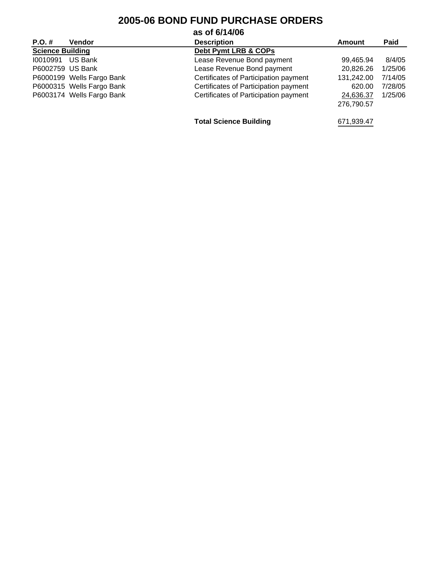|                         |                           | as of 6/14/06                         |            |         |
|-------------------------|---------------------------|---------------------------------------|------------|---------|
| $P.O. \#$               | <b>Vendor</b>             | <b>Description</b>                    | Amount     | Paid    |
| <b>Science Building</b> |                           | Debt Pymt LRB & COPs                  |            |         |
| 10010991                | US Bank                   | Lease Revenue Bond payment            | 99,465.94  | 8/4/05  |
| P6002759 US Bank        |                           | Lease Revenue Bond payment            | 20,826.26  | 1/25/06 |
|                         | P6000199 Wells Fargo Bank | Certificates of Participation payment | 131,242.00 | 7/14/05 |
|                         | P6000315 Wells Fargo Bank | Certificates of Participation payment | 620.00     | 7/28/05 |
|                         | P6003174 Wells Fargo Bank | Certificates of Participation payment | 24,636.37  | 1/25/06 |
|                         |                           |                                       | 276.790.57 |         |
|                         |                           | <b>Total Science Building</b>         | 671,939.47 |         |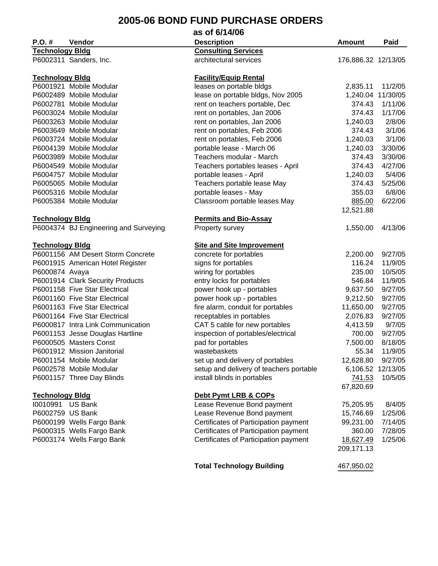|                        |                                       | as of 6/14/06                           |                     |                   |
|------------------------|---------------------------------------|-----------------------------------------|---------------------|-------------------|
| $P.O. \#$              | Vendor                                | <b>Description</b>                      | <b>Amount</b>       | Paid              |
| <b>Technology Bldg</b> |                                       | <b>Consulting Services</b>              |                     |                   |
|                        | P6002311 Sanders, Inc.                | architectural services                  | 176,886.32 12/13/05 |                   |
|                        |                                       |                                         |                     |                   |
| <b>Technology Bidg</b> |                                       | <b>Facility/Equip Rental</b>            |                     |                   |
|                        | P6001921 Mobile Modular               | leases on portable bldgs                | 2,835.11            | 11/2/05           |
|                        | P6002489 Mobile Modular               | lease on portable bldgs, Nov 2005       | 1,240.04 11/30/05   |                   |
|                        | P6002781 Mobile Modular               | rent on teachers portable, Dec          | 374.43              | 1/11/06           |
|                        | P6003024 Mobile Modular               | rent on portables, Jan 2006             | 374.43              | 1/17/06           |
|                        | P6003263 Mobile Modular               | rent on portables, Jan 2006             | 1,240.03            | 2/8/06            |
|                        | P6003649 Mobile Modular               | rent on portables, Feb 2006             | 374.43              | 3/1/06            |
|                        | P6003724 Mobile Modular               | rent on portables, Feb 2006             | 1,240.03            | 3/1/06            |
|                        | P6004139 Mobile Modular               | portable lease - March 06               | 1,240.03            | 3/30/06           |
|                        | P6003989 Mobile Modular               | Teachers modular - March                | 374.43              | 3/30/06           |
|                        | P6004549 Mobile Modular               | Teachers portables leases - April       | 374.43              | 4/27/06           |
|                        | P6004757 Mobile Modular               | portable leases - April                 | 1,240.03            | 5/4/06            |
|                        | P6005065 Mobile Modular               | Teachers portable lease May             | 374.43              | 5/25/06           |
|                        | P6005316 Mobile Modular               | portable leases - May                   | 355.03              | 6/8/06            |
|                        | P6005384 Mobile Modular               | Classroom portable leases May           | 885.00              | 6/22/06           |
|                        |                                       |                                         | 12,521.88           |                   |
| <b>Technology Bidg</b> |                                       | <b>Permits and Bio-Assay</b>            |                     |                   |
|                        | P6004374 BJ Engineering and Surveying | Property survey                         | 1,550.00            | 4/13/06           |
|                        |                                       |                                         |                     |                   |
| <b>Technology Bidg</b> |                                       | <b>Site and Site Improvement</b>        |                     |                   |
|                        | P6001156 AM Desert Storm Concrete     | concrete for portables                  | 2,200.00            | 9/27/05           |
|                        | P6001915 American Hotel Register      | signs for portables                     | 116.24              | 11/9/05           |
| P6000874 Avaya         |                                       | wiring for portables                    | 235.00              | 10/5/05           |
|                        | P6001914 Clark Security Products      | entry locks for portables               | 546.84              | 11/9/05           |
|                        | P6001158 Five Star Electrical         | power hook up - portables               | 9,637.50            | 9/27/05           |
|                        | P6001160 Five Star Electrical         | power hook up - portables               | 9,212.50            | 9/27/05           |
|                        | P6001163 Five Star Electrical         | fire alarm, conduit for portables       | 11,650.00           | 9/27/05           |
|                        | P6001164 Five Star Electrical         | receptables in portables                | 2,076.83            | 9/27/05           |
|                        | P6000817 Intra Link Communication     | CAT 5 cable for new portables           | 4,413.59            | 9/7/05            |
|                        | P6001153 Jesse Douglas Hartline       | inspection of portables/electrical      | 700.00              | 9/27/05           |
|                        | P6000505 Masters Const                | pad for portables                       | 7,500.00            | 8/18/05           |
|                        | P6001912 Mission Janitorial           | wastebaskets                            | 55.34               | 11/9/05           |
|                        | P6001154 Mobile Modular               | set up and delivery of portables        | 12,628.80           | 9/27/05           |
|                        | P6002578 Mobile Modular               | setup and delivery of teachers portable |                     | 6,106.52 12/13/05 |
|                        | P6001157 Three Day Blinds             | install blinds in portables             | 741.53              | 10/5/05           |
|                        |                                       |                                         | 67,820.69           |                   |
| <b>Technology Bldg</b> |                                       | Debt Pymt LRB & COPs                    |                     |                   |
| 10010991 US Bank       |                                       | Lease Revenue Bond payment              | 75,205.95           | 8/4/05            |
| P6002759 US Bank       |                                       | Lease Revenue Bond payment              | 15,746.69           | 1/25/06           |
|                        | P6000199 Wells Fargo Bank             | Certificates of Participation payment   | 99,231.00           | 7/14/05           |
|                        | P6000315 Wells Fargo Bank             | Certificates of Participation payment   | 360.00              | 7/28/05           |
|                        | P6003174 Wells Fargo Bank             | Certificates of Participation payment   | 18,627.49           | 1/25/06           |
|                        |                                       |                                         | 209,171.13          |                   |
|                        |                                       |                                         |                     |                   |
|                        |                                       | <b>Total Technology Building</b>        | 467,950.02          |                   |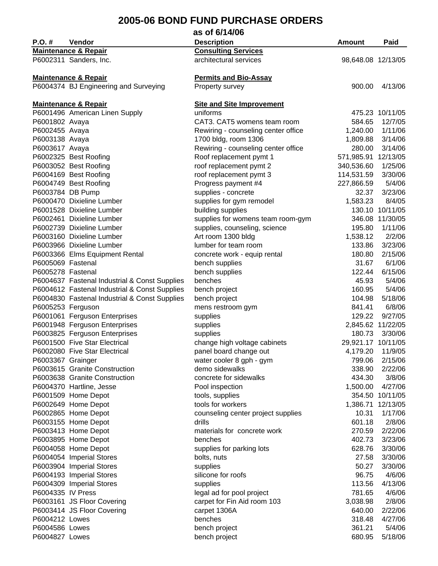| as of 6/14/06     |                                                                |                                     |                     |                              |
|-------------------|----------------------------------------------------------------|-------------------------------------|---------------------|------------------------------|
| P.O. #            | Vendor                                                         | <b>Description</b>                  | Amount              | Paid                         |
|                   | <b>Maintenance &amp; Repair</b>                                | <b>Consulting Services</b>          |                     |                              |
|                   | P6002311 Sanders, Inc.                                         | architectural services              | 98,648.08 12/13/05  |                              |
|                   |                                                                |                                     |                     |                              |
|                   | <b>Maintenance &amp; Repair</b>                                | <b>Permits and Bio-Assay</b>        |                     |                              |
|                   | P6004374 BJ Engineering and Surveying                          | Property survey                     | 900.00              | 4/13/06                      |
|                   |                                                                |                                     |                     |                              |
|                   | <b>Maintenance &amp; Repair</b>                                | <b>Site and Site Improvement</b>    |                     |                              |
|                   | P6001496 American Linen Supply                                 | uniforms                            |                     | 475.23 10/11/05              |
| P6001802 Avaya    |                                                                | CAT3. CAT5 womens team room         | 584.65              | 12/7/05                      |
| P6002455 Avaya    |                                                                | Rewiring - counseling center office | 1,240.00            | 1/11/06                      |
| P6003138 Avaya    |                                                                | 1700 bldg, room 1306                | 1,809.88            | 3/14/06                      |
| P6003617 Avaya    |                                                                | Rewiring - counseling center office | 280.00              | 3/14/06                      |
|                   | P6002325 Best Roofing                                          | Roof replacement pymt 1             | 571,985.91 12/13/05 |                              |
|                   | P6003052 Best Roofing                                          | roof replacement pymt 2             | 340,536.60          | 1/25/06                      |
|                   | P6004169 Best Roofing                                          | roof replacement pymt 3             | 114,531.59          | 3/30/06                      |
|                   | P6004749 Best Roofing                                          | Progress payment #4                 | 227,866.59          | 5/4/06                       |
| P6003784 DB Pump  |                                                                | supplies - concrete                 | 32.37               | 3/23/06                      |
|                   | P6000470 Dixieline Lumber                                      | supplies for gym remodel            | 1,583.23            | 8/4/05                       |
|                   | P6001528 Dixieline Lumber                                      | building supplies                   |                     | 130.10 10/11/05              |
|                   | P6002461 Dixieline Lumber                                      | supplies for womens team room-gym   |                     | 346.08 11/30/05              |
|                   | P6002739 Dixieline Lumber                                      | supplies, counseling, science       | 195.80              | 1/11/06                      |
|                   | P6003160 Dixieline Lumber                                      | Art room 1300 bldg                  | 1,538.12            | 2/2/06                       |
|                   | P6003966 Dixieline Lumber                                      | lumber for team room                | 133.86              | 3/23/06                      |
|                   |                                                                | concrete work - equip rental        | 180.80              | 2/15/06                      |
| P6005069 Fastenal | P6003366 Elms Equipment Rental                                 | bench supplies                      | 31.67               | 6/1/06                       |
| P6005278 Fastenal |                                                                |                                     | 122.44              | 6/15/06                      |
|                   | P6004637 Fastenal Industrial & Const Supplies                  | bench supplies<br>benches           | 45.93               | 5/4/06                       |
|                   |                                                                |                                     | 160.95              | 5/4/06                       |
|                   | P6004612 Fastenal Industrial & Const Supplies                  | bench project                       |                     | 5/18/06                      |
|                   | P6004830 Fastenal Industrial & Const Supplies                  | bench project                       | 104.98              | 6/8/06                       |
| P6005253 Ferguson |                                                                | mens restroom gym                   | 841.41              | 9/27/05                      |
|                   | P6001061 Ferguson Enterprises                                  | supplies                            | 129.22              |                              |
|                   | P6001948 Ferguson Enterprises<br>P6003825 Ferguson Enterprises | supplies                            | 180.73              | 2,845.62 11/22/05<br>3/30/06 |
|                   | P6001500 Five Star Electrical                                  | supplies                            |                     |                              |
|                   |                                                                | change high voltage cabinets        | 29,921.17 10/11/05  |                              |
|                   | P6002080 Five Star Electrical                                  | panel board change out              | 4,179.20            | 11/9/05                      |
| P6003367 Grainger |                                                                | water cooler 8 gph - gym            | 799.06              | 2/15/06                      |
|                   | P6003615 Granite Construction                                  | demo sidewalks                      | 338.90              | 2/22/06                      |
|                   | P6003638 Granite Construction                                  | concrete for sidewalks              | 434.30              | 3/8/06                       |
|                   | P6004370 Hartline, Jesse                                       | Pool inspection                     | 1,500.00            | 4/27/06                      |
|                   | P6001509 Home Depot                                            | tools, supplies                     |                     | 354.50 10/11/05              |
|                   | P6002649 Home Depot                                            | tools for workers                   |                     | 1,386.71 12/13/05            |
|                   | P6002865 Home Depot                                            | counseling center project supplies  | 10.31               | 1/17/06                      |
|                   | P6003155 Home Depot                                            | drills                              | 601.18              | 2/8/06                       |
|                   | P6003413 Home Depot                                            | materials for concrete work         | 270.59              | 2/22/06                      |
|                   | P6003895 Home Depot                                            | benches                             | 402.73              | 3/23/06                      |
|                   | P6004058 Home Depot                                            | supplies for parking lots           | 628.76              | 3/30/06                      |
|                   | P6004054 Imperial Stores                                       | bolts, nuts                         | 27.58               | 3/30/06                      |
|                   | P6003904 Imperial Stores                                       | supplies                            | 50.27               | 3/30/06                      |
|                   | P6004193 Imperial Stores                                       | silicone for roofs                  | 96.75               | 4/6/06                       |
|                   | P6004309 Imperial Stores                                       | supplies                            | 113.56              | 4/13/06                      |
| P6004335 IV Press |                                                                | legal ad for pool project           | 781.65              | 4/6/06                       |
|                   | P6003161 JS Floor Covering                                     | carpet for Fin Aid room 103         | 3,038.98            | 2/8/06                       |
|                   | P6003414 JS Floor Covering                                     | carpet 1306A                        | 640.00              | 2/22/06                      |
| P6004212 Lowes    |                                                                | benches                             | 318.48              | 4/27/06                      |
| P6004586 Lowes    |                                                                | bench project                       | 361.21              | 5/4/06                       |
| P6004827 Lowes    |                                                                | bench project                       | 680.95              | 5/18/06                      |